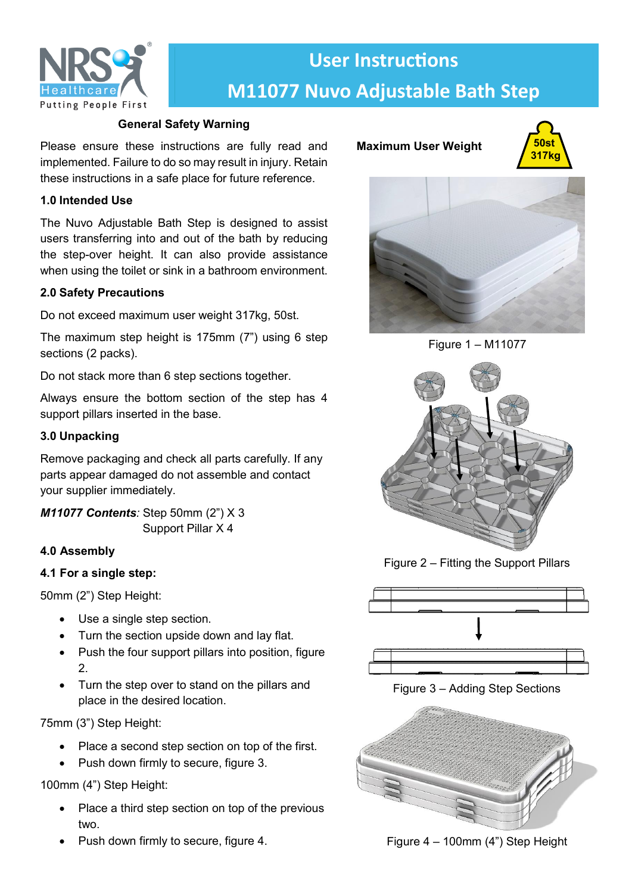

# **User Instructions M11077 Nuvo Adjustable Bath Step**

# **General Safety Warning**

Please ensure these instructions are fully read and implemented. Failure to do so may result in injury. Retain these instructions in a safe place for future reference.

## **1.0 Intended Use**

The Nuvo Adjustable Bath Step is designed to assist users transferring into and out of the bath by reducing the step-over height. It can also provide assistance when using the toilet or sink in a bathroom environment.

## **2.0 Safety Precautions**

Do not exceed maximum user weight 317kg, 50st.

The maximum step height is 175mm (7") using 6 step sections (2 packs).

Do not stack more than 6 step sections together.

Always ensure the bottom section of the step has 4 support pillars inserted in the base.

## **3.0 Unpacking**

Remove packaging and check all parts carefully. If any parts appear damaged do not assemble and contact your supplier immediately.

*M11077 Contents:* Step 50mm (2") X 3 Support Pillar X 4

# **4.0 Assembly**

#### **4.1 For a single step:**

50mm (2") Step Height:

- Use a single step section.
- Turn the section upside down and lay flat.
- Push the four support pillars into position, figure  $\mathcal{P}$
- Turn the step over to stand on the pillars and place in the desired location.

75mm (3") Step Height:

- Place a second step section on top of the first.
- Push down firmly to secure, figure 3.

# 100mm (4") Step Height:

- Place a third step section on top of the previous two.
- Push down firmly to secure, figure 4.







Figure 1 – M11077



Figure 2 – Fitting the Support Pillars



Figure 3 – Adding Step Sections



Figure 4 – 100mm (4") Step Height